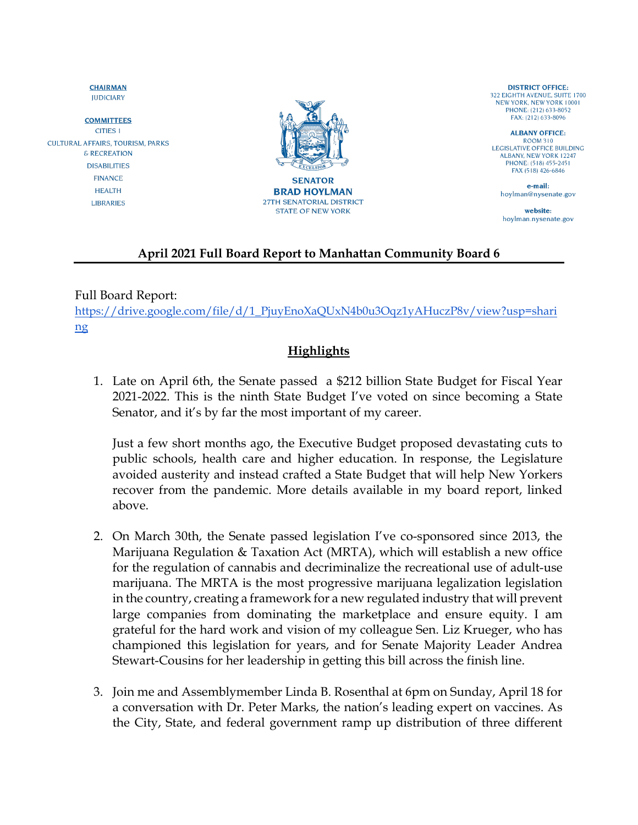**JUDICIARY COMMITTEES CITIES 1 CULTURAL AFFAIRS, TOURISM, PARKS** & RECREATION **DISABILITIES FINANCE HEALTH LIBRARIES** 

**CHAIRMAN** 



**DISTRICT OFFICE:** 322 EIGHTH AVENUE, SUITE 1700 NEW YORK, NEW YORK 10001 PHONE: (212) 633-8052 FAX: (212) 633-8096

**ALBANY OFFICE: ROOM 310** LEGISLATIVE OFFICE BUILDING **ALBANY, NEW YORK 12247** PHONE: (518) 455-2451 FAX (518) 426-6846

e-mail: hoylman@nysenate.gov

website: hoylman.nysenate.gov

## **April 2021 Full Board Report to Manhattan Community Board 6**

Full Board Report:

[https://drive.google.com/file/d/1\\_PjuyEnoXaQUxN4b0u3Oqz1yAHuczP8v/view?usp=shari](https://drive.google.com/file/d/1_PjuyEnoXaQUxN4b0u3Oqz1yAHuczP8v/view?usp=sharing) [ng](https://drive.google.com/file/d/1_PjuyEnoXaQUxN4b0u3Oqz1yAHuczP8v/view?usp=sharing)

## **Highlights**

1. Late on April 6th, the Senate passed a \$212 billion State Budget for Fiscal Year 2021-2022. This is the ninth State Budget I've voted on since becoming a State Senator, and it's by far the most important of my career.

Just a few short months ago, the Executive Budget proposed devastating cuts to public schools, health care and higher education. In response, the Legislature avoided austerity and instead crafted a State Budget that will help New Yorkers recover from the pandemic. More details available in my board report, linked above.

- 2. On March 30th, the Senate passed legislation I've co-sponsored since 2013, the Marijuana Regulation & Taxation Act (MRTA), which will establish a new office for the regulation of cannabis and decriminalize the recreational use of adult-use marijuana. The MRTA is the most progressive marijuana legalization legislation in the country, creating a framework for a new regulated industry that will prevent large companies from dominating the marketplace and ensure equity. I am grateful for the hard work and vision of my colleague Sen. Liz Krueger, who has championed this legislation for years, and for Senate Majority Leader Andrea Stewart-Cousins for her leadership in getting this bill across the finish line.
- 3. Join me and Assemblymember Linda B. Rosenthal at 6pm on Sunday, April 18 for a conversation with Dr. Peter Marks, the nation's leading expert on vaccines. As the City, State, and federal government ramp up distribution of three different